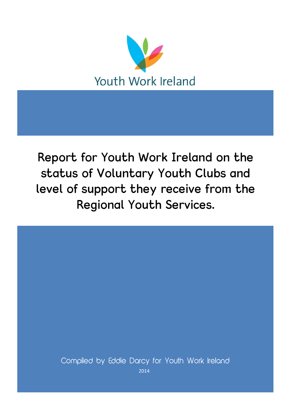

Report for Youth Work Ireland on the status of Voluntary Youth Clubs and level of support they receive from the Regional Youth Services.

Compiled by Eddie Darcy for Youth Work Ireland 2014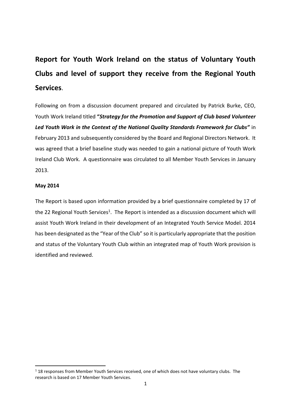# **Report for Youth Work Ireland on the status of Voluntary Youth Clubs and level of support they receive from the Regional Youth Services**.

Following on from a discussion document prepared and circulated by Patrick Burke, CEO, Youth Work Ireland titled **"***Strategy for the Promotion and Support of Club based Volunteer Led Youth Work in the Context of the National Quality Standards Framework for Clubs"* in February 2013 and subsequently considered by the Board and Regional Directors Network. It was agreed that a brief baseline study was needed to gain a national picture of Youth Work Ireland Club Work. A questionnaire was circulated to all Member Youth Services in January 2013.

## **May 2014**

**.** 

The Report is based upon information provided by a brief questionnaire completed by 17 of the 22 Regional Youth Services<sup>1</sup>. The Report is intended as a discussion document which will assist Youth Work Ireland in their development of an Integrated Youth Service Model. 2014 has been designated as the "Year of the Club" so it is particularly appropriate that the position and status of the Voluntary Youth Club within an integrated map of Youth Work provision is identified and reviewed.

 $118$  responses from Member Youth Services received, one of which does not have voluntary clubs. The research is based on 17 Member Youth Services.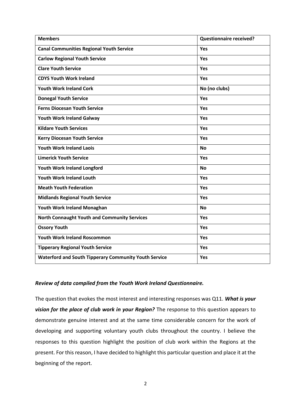| <b>Members</b>                                               | <b>Questionnaire received?</b> |
|--------------------------------------------------------------|--------------------------------|
| <b>Canal Communities Regional Youth Service</b>              | Yes                            |
| <b>Carlow Regional Youth Service</b>                         | Yes                            |
| <b>Clare Youth Service</b>                                   | Yes                            |
| <b>CDYS Youth Work Ireland</b>                               | Yes                            |
| <b>Youth Work Ireland Cork</b>                               | No (no clubs)                  |
| <b>Donegal Youth Service</b>                                 | Yes                            |
| <b>Ferns Diocesan Youth Service</b>                          | Yes                            |
| Youth Work Ireland Galway                                    | Yes                            |
| <b>Kildare Youth Services</b>                                | Yes                            |
| <b>Kerry Diocesan Youth Service</b>                          | Yes                            |
| <b>Youth Work Ireland Laois</b>                              | <b>No</b>                      |
| <b>Limerick Youth Service</b>                                | Yes                            |
| Youth Work Ireland Longford                                  | <b>No</b>                      |
| <b>Youth Work Ireland Louth</b>                              | Yes                            |
| <b>Meath Youth Federation</b>                                | Yes                            |
| <b>Midlands Regional Youth Service</b>                       | Yes                            |
| Youth Work Ireland Monaghan                                  | <b>No</b>                      |
| <b>North Connaught Youth and Community Services</b>          | Yes                            |
| <b>Ossory Youth</b>                                          | Yes                            |
| <b>Youth Work Ireland Roscommon</b>                          | Yes                            |
| <b>Tipperary Regional Youth Service</b>                      | Yes                            |
| <b>Waterford and South Tipperary Community Youth Service</b> | Yes                            |

## *Review of data compiled from the Youth Work Ireland Questionnaire.*

The question that evokes the most interest and interesting responses was Q11. *What is your vision for the place of club work in your Region?* The response to this question appears to demonstrate genuine interest and at the same time considerable concern for the work of developing and supporting voluntary youth clubs throughout the country. I believe the responses to this question highlight the position of club work within the Regions at the present. For this reason, I have decided to highlight this particular question and place it at the beginning of the report.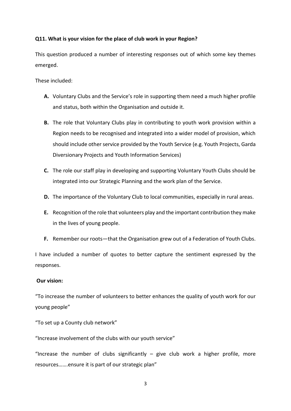# **Q11. What is your vision for the place of club work in your Region?**

This question produced a number of interesting responses out of which some key themes emerged.

These included:

- **A.** Voluntary Clubs and the Service's role in supporting them need a much higher profile and status, both within the Organisation and outside it.
- **B.** The role that Voluntary Clubs play in contributing to youth work provision within a Region needs to be recognised and integrated into a wider model of provision, which should include other service provided by the Youth Service (e.g. Youth Projects, Garda Diversionary Projects and Youth Information Services)
- **C.** The role our staff play in developing and supporting Voluntary Youth Clubs should be integrated into our Strategic Planning and the work plan of the Service.
- **D.** The importance of the Voluntary Club to local communities, especially in rural areas.
- **E.** Recognition of the role that volunteers play and the important contribution they make in the lives of young people.
- **F.** Remember our roots—that the Organisation grew out of a Federation of Youth Clubs.

I have included a number of quotes to better capture the sentiment expressed by the responses.

## **Our vision:**

"To increase the number of volunteers to better enhances the quality of youth work for our young people"

"To set up a County club network"

"Increase involvement of the clubs with our youth service"

"Increase the number of clubs significantly  $-$  give club work a higher profile, more resources…….ensure it is part of our strategic plan"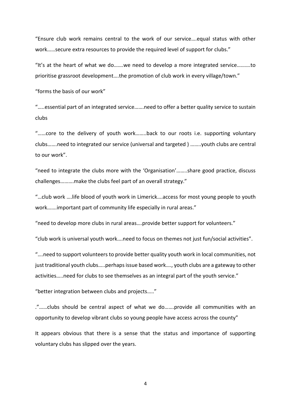"Ensure club work remains central to the work of our service….equal status with other work……secure extra resources to provide the required level of support for clubs."

"It's at the heart of what we do…….we need to develop a more integrated service……….to prioritise grassroot development….the promotion of club work in every village/town."

"forms the basis of our work"

"…..essential part of an integrated service…….need to offer a better quality service to sustain clubs

"……core to the delivery of youth work……..back to our roots i.e. supporting voluntary clubs…….need to integrated our service (universal and targeted ) ……..youth clubs are central to our work".

"need to integrate the clubs more with the 'Organisation'……..share good practice, discuss challenges……….make the clubs feel part of an overall strategy."

"…club work ….life blood of youth work in Limerick….access for most young people to youth work…….important part of community life especially in rural areas."

"need to develop more clubs in rural areas….provide better support for volunteers."

"club work is universal youth work….need to focus on themes not just fun/social activities".

"….need to support volunteers to provide better quality youth work in local communities, not just traditional youth clubs…..perhaps issue based work…., youth clubs are a gateway to other activities…..need for clubs to see themselves as an integral part of the youth service."

"better integration between clubs and projects….."

."……clubs should be central aspect of what we do…….provide all communities with an opportunity to develop vibrant clubs so young people have access across the county"

It appears obvious that there is a sense that the status and importance of supporting voluntary clubs has slipped over the years.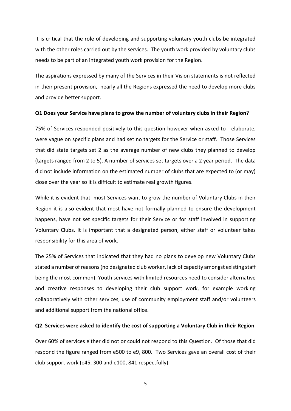It is critical that the role of developing and supporting voluntary youth clubs be integrated with the other roles carried out by the services. The youth work provided by voluntary clubs needs to be part of an integrated youth work provision for the Region.

The aspirations expressed by many of the Services in their Vision statements is not reflected in their present provision, nearly all the Regions expressed the need to develop more clubs and provide better support.

#### **Q1 Does your Service have plans to grow the number of voluntary clubs in their Region?**

75% of Services responded positively to this question however when asked to elaborate, were vague on specific plans and had set no targets for the Service or staff. Those Services that did state targets set 2 as the average number of new clubs they planned to develop (targets ranged from 2 to 5). A number of services set targets over a 2 year period. The data did not include information on the estimated number of clubs that are expected to (or may) close over the year so it is difficult to estimate real growth figures.

While it is evident that most Services want to grow the number of Voluntary Clubs in their Region it is also evident that most have not formally planned to ensure the development happens, have not set specific targets for their Service or for staff involved in supporting Voluntary Clubs. It is important that a designated person, either staff or volunteer takes responsibility for this area of work.

The 25% of Services that indicated that they had no plans to develop new Voluntary Clubs stated a number of reasons (no designated club worker, lack of capacity amongst existing staff being the most common). Youth services with limited resources need to consider alternative and creative responses to developing their club support work, for example working collaboratively with other services, use of community employment staff and/or volunteers and additional support from the national office.

#### **Q2**. **Services were asked to identify the cost of supporting a Voluntary Club in their Region**.

Over 60% of services either did not or could not respond to this Question. Of those that did respond the figure ranged from e500 to e9, 800. Two Services gave an overall cost of their club support work (e45, 300 and e100, 841 respectfully)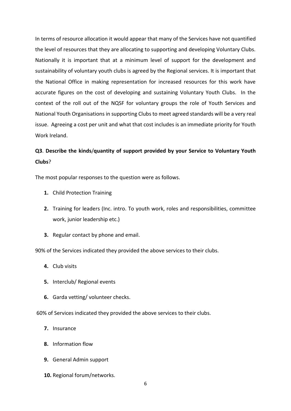In terms of resource allocation it would appear that many of the Services have not quantified the level of resources that they are allocating to supporting and developing Voluntary Clubs. Nationally it is important that at a minimum level of support for the development and sustainability of voluntary youth clubs is agreed by the Regional services. It is important that the National Office in making representation for increased resources for this work have accurate figures on the cost of developing and sustaining Voluntary Youth Clubs. In the context of the roll out of the NQSF for voluntary groups the role of Youth Services and National Youth Organisations in supporting Clubs to meet agreed standards will be a very real issue. Agreeing a cost per unit and what that cost includes is an immediate priority for Youth Work Ireland.

# **Q3**. **Describe the kinds**/**quantity of support provided by your Service to Voluntary Youth Clubs**?

The most popular responses to the question were as follows.

- **1.** Child Protection Training
- **2.** Training for leaders (Inc. intro. To youth work, roles and responsibilities, committee work, junior leadership etc.)
- **3.** Regular contact by phone and email.

90% of the Services indicated they provided the above services to their clubs.

- **4.** Club visits
- **5.** Interclub/ Regional events
- **6.** Garda vetting/ volunteer checks.

60% of Services indicated they provided the above services to their clubs.

- **7.** Insurance
- **8.** Information flow
- **9.** General Admin support
- **10.** Regional forum/networks.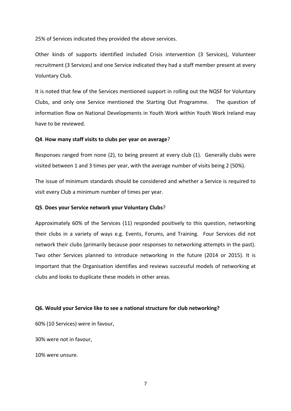25% of Services indicated they provided the above services.

Other kinds of supports identified included Crisis intervention (3 Services), Volunteer recruitment (3 Services) and one Service indicated they had a staff member present at every Voluntary Club.

It is noted that few of the Services mentioned support in rolling out the NQSF for Voluntary Clubs, and only one Service mentioned the Starting Out Programme. The question of information flow on National Developments in Youth Work within Youth Work Ireland may have to be reviewed.

#### **Q4**. **How many staff visits to clubs per year on average**?

Responses ranged from none (2), to being present at every club (1). Generally clubs were visited between 1 and 3 times per year, with the average number of visits being 2 (50%).

The issue of minimum standards should be considered and whether a Service is required to visit every Club a minimum number of times per year.

#### **Q5**. **Does your Service network your Voluntary Clubs**?

Approximately 60% of the Services (11) responded positively to this question, networking their clubs in a variety of ways e.g. Events, Forums, and Training. Four Services did not network their clubs (primarily because poor responses to networking attempts in the past). Two other Services planned to introduce networking in the future (2014 or 2015). It is important that the Organisation identifies and reviews successful models of networking at clubs and looks to duplicate these models in other areas.

#### **Q6. Would your Service like to see a national structure for club networking?**

60% (10 Services) were in favour,

30% were not in favour,

10% were unsure.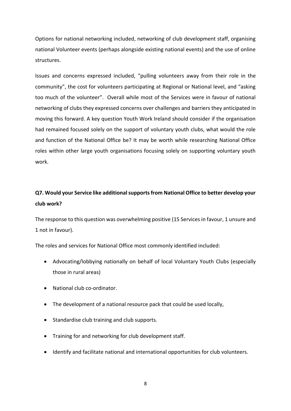Options for national networking included, networking of club development staff, organising national Volunteer events (perhaps alongside existing national events) and the use of online structures.

Issues and concerns expressed included, "pulling volunteers away from their role in the community", the cost for volunteers participating at Regional or National level, and "asking too much of the volunteer". Overall while most of the Services were in favour of national networking of clubs they expressed concerns over challenges and barriers they anticipated in moving this forward. A key question Youth Work Ireland should consider if the organisation had remained focused solely on the support of voluntary youth clubs, what would the role and function of the National Office be? It may be worth while researching National Office roles within other large youth organisations focusing solely on supporting voluntary youth work.

# **Q7. Would your Service like additional supports from National Office to better develop your club work?**

The response to this question was overwhelming positive (15 Services in favour, 1 unsure and 1 not in favour).

The roles and services for National Office most commonly identified included:

- Advocating/lobbying nationally on behalf of local Voluntary Youth Clubs (especially those in rural areas)
- National club co-ordinator.
- The development of a national resource pack that could be used locally,
- Standardise club training and club supports.
- Training for and networking for club development staff.
- Identify and facilitate national and international opportunities for club volunteers.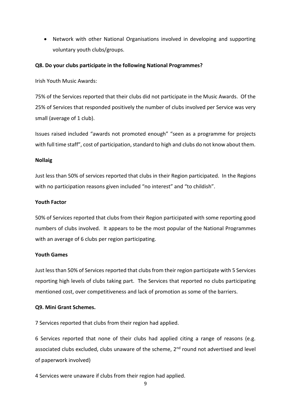• Network with other National Organisations involved in developing and supporting voluntary youth clubs/groups.

#### **Q8. Do your clubs participate in the following National Programmes?**

Irish Youth Music Awards:

75% of the Services reported that their clubs did not participate in the Music Awards. Of the 25% of Services that responded positively the number of clubs involved per Service was very small (average of 1 club).

Issues raised included "awards not promoted enough" "seen as a programme for projects with full time staff", cost of participation, standard to high and clubs do not know about them.

#### **Nollaig**

Just less than 50% of services reported that clubs in their Region participated. In the Regions with no participation reasons given included "no interest" and "to childish".

#### **Youth Factor**

50% of Services reported that clubs from their Region participated with some reporting good numbers of clubs involved. It appears to be the most popular of the National Programmes with an average of 6 clubs per region participating.

#### **Youth Games**

Just less than 50% of Services reported that clubs from their region participate with 5 Services reporting high levels of clubs taking part. The Services that reported no clubs participating mentioned cost, over competitiveness and lack of promotion as some of the barriers.

#### **Q9. Mini Grant Schemes.**

7 Services reported that clubs from their region had applied.

6 Services reported that none of their clubs had applied citing a range of reasons (e.g. associated clubs excluded, clubs unaware of the scheme, 2<sup>nd</sup> round not advertised and level of paperwork involved)

4 Services were unaware if clubs from their region had applied.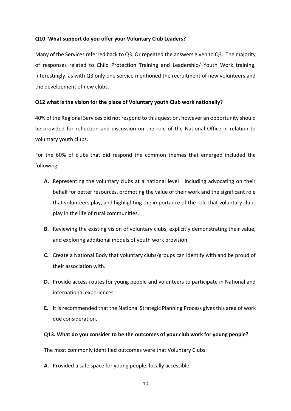# **Q10. What support do you offer your Voluntary Club Leaders?**

Many of the Services referred back to Q3. Or repeated the answers given to Q3. The majority of responses related to Child Protection Training and Leadership/ Youth Work training. Interestingly, as with Q3 only one service mentioned the recruitment of new volunteers and the development of new clubs.

# **Q12 what is the vision for the place of Voluntary youth Club work nationally?**

40% of the Regional Services did not respond to this question, however an opportunity should be provided for reflection and discussion on the role of the National Office in relation to voluntary youth clubs.

For the 60% of clubs that did respond the common themes that emerged included the following:

- **A.** Representing the voluntary clubs at a national level including advocating on their behalf for better resources, promoting the value of their work and the significant role that volunteers play, and highlighting the importance of the role that voluntary clubs play in the life of rural communities.
- **B.** Reviewing the existing vision of voluntary clubs, explicitly demonstrating their value, and exploring additional models of youth work provision.
- **C.** Create a National Body that voluntary clubs/groups can identify with and be proud of their association with.
- **D.** Provide access routes for young people and volunteers to participate in National and international experiences.
- **E.** It is recommended that the National Strategic Planning Process gives this area of work due consideration.

# **Q13. What do you consider to be the outcomes of your club work for young people?**

The most commonly identified outcomes were that Voluntary Clubs:

**A.** Provided a safe space for young people, locally accessible.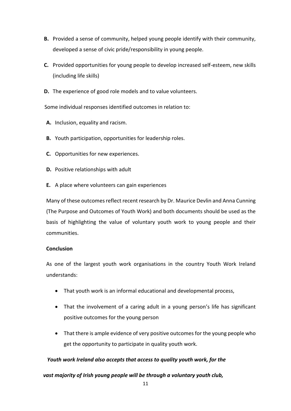- **B.** Provided a sense of community, helped young people identify with their community, developed a sense of civic pride/responsibility in young people.
- **C.** Provided opportunities for young people to develop increased self-esteem, new skills (including life skills)
- **D.** The experience of good role models and to value volunteers.

Some individual responses identified outcomes in relation to:

- **A.** Inclusion, equality and racism.
- **B.** Youth participation, opportunities for leadership roles.
- **C.** Opportunities for new experiences.
- **D.** Positive relationships with adult
- **E.** A place where volunteers can gain experiences

Many of these outcomes reflect recent research by Dr. Maurice Devlin and Anna Cunning (The Purpose and Outcomes of Youth Work) and both documents should be used as the basis of highlighting the value of voluntary youth work to young people and their communities.

# **Conclusion**

As one of the largest youth work organisations in the country Youth Work Ireland understands:

- That youth work is an informal educational and developmental process,
- That the involvement of a caring adult in a young person's life has significant positive outcomes for the young person
- That there is ample evidence of very positive outcomes for the young people who get the opportunity to participate in quality youth work.

# *Youth work Ireland also accepts that access to quality youth work, for the*

# *vast majority of Irish young people will be through a voluntary youth club,*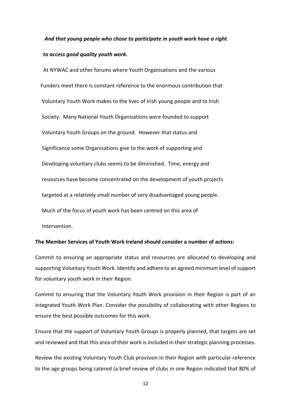# *And that young people who chose to participate in youth work have a right to access good quality youth work.*

 At NYWAC and other forums where Youth Organisations and the various Funders meet there is constant reference to the enormous contribution that Voluntary Youth Work makes to the lives of Irish young people and to Irish Society. Many National Youth Organisations were founded to support Voluntary Youth Groups on the ground. However that status and Significance some Organisations give to the work of supporting and Developing voluntary clubs seems to be diminished. Time, energy and resources have become concentrated on the development of youth projects targeted at a relatively small number of very disadvantaged young people. Much of the focus of youth work has been centred on this area of Intervention.

#### **The Member Services of Youth Work Ireland should consider a number of actions:**

Commit to ensuring an appropriate status and resources are allocated to developing and supporting Voluntary Youth Work. Identify and adhere to an agreed minimum level of support for voluntary youth work in their Region.

Commit to ensuring that the Voluntary Youth Work provision in their Region is part of an integrated Youth Work Plan. Consider the possibility of collaborating with other Regions to ensure the best possible outcomes for this work.

Ensure that the support of Voluntary Youth Groups is properly planned, that targets are set and reviewed and that this area of their work is included in their strategic planning processes.

Review the existing Voluntary Youth Club provision in their Region with particular reference to the age groups being catered (a brief review of clubs in one Region indicated that 80% of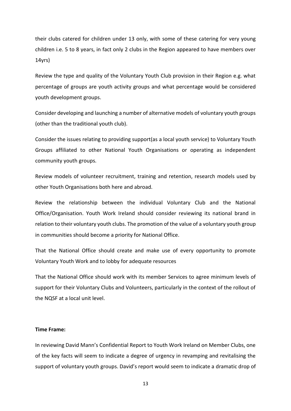their clubs catered for children under 13 only, with some of these catering for very young children i.e. 5 to 8 years, in fact only 2 clubs in the Region appeared to have members over 14yrs)

Review the type and quality of the Voluntary Youth Club provision in their Region e.g. what percentage of groups are youth activity groups and what percentage would be considered youth development groups.

Consider developing and launching a number of alternative models of voluntary youth groups (other than the traditional youth club).

Consider the issues relating to providing support(as a local youth service) to Voluntary Youth Groups affiliated to other National Youth Organisations or operating as independent community youth groups.

Review models of volunteer recruitment, training and retention, research models used by other Youth Organisations both here and abroad.

Review the relationship between the individual Voluntary Club and the National Office/Organisation. Youth Work Ireland should consider reviewing its national brand in relation to their voluntary youth clubs. The promotion of the value of a voluntary youth group in communities should become a priority for National Office.

That the National Office should create and make use of every opportunity to promote Voluntary Youth Work and to lobby for adequate resources

That the National Office should work with its member Services to agree minimum levels of support for their Voluntary Clubs and Volunteers, particularly in the context of the rollout of the NQSF at a local unit level.

#### **Time Frame:**

In reviewing David Mann's Confidential Report to Youth Work Ireland on Member Clubs, one of the key facts will seem to indicate a degree of urgency in revamping and revitalising the support of voluntary youth groups. David's report would seem to indicate a dramatic drop of